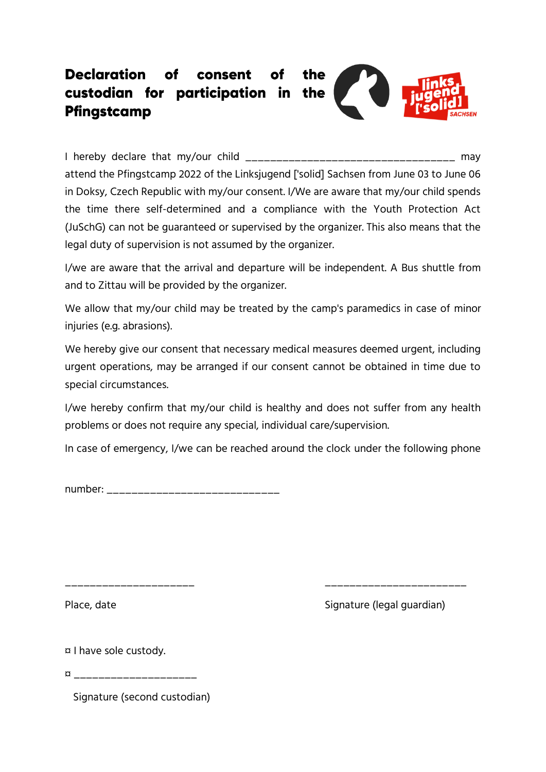## Declaration consent **of** of the custodian for participation in the Pfingstcamp

I hereby declare that my/our child \_\_\_\_\_\_\_\_\_\_\_\_\_\_\_\_\_\_\_\_\_\_\_\_\_\_\_\_\_\_\_\_\_\_ may attend the Pfingstcamp 2022 of the Linksjugend ['solid] Sachsen from June 03 to June 06 in Doksy, Czech Republic with my/our consent. I/We are aware that my/our child spends the time there self-determined and a compliance with the Youth Protection Act (JuSchG) can not be guaranteed or supervised by the organizer. This also means that the legal duty of supervision is not assumed by the organizer.

I/we are aware that the arrival and departure will be independent. A Bus shuttle from and to Zittau will be provided by the organizer.

We allow that my/our child may be treated by the camp's paramedics in case of minor injuries (e.g. abrasions).

We hereby give our consent that necessary medical measures deemed urgent, including urgent operations, may be arranged if our consent cannot be obtained in time due to special circumstances.

I/we hereby confirm that my/our child is healthy and does not suffer from any health problems or does not require any special, individual care/supervision.

In case of emergency, I/we can be reached around the clock under the following phone

\_\_\_\_\_\_\_\_\_\_\_\_\_\_\_\_\_\_\_\_\_ \_\_\_\_\_\_\_\_\_\_\_\_\_\_\_\_\_\_\_\_\_\_\_

number: \_\_\_\_\_\_\_\_\_\_\_\_\_\_\_\_\_\_\_\_\_\_\_\_\_\_\_\_

Place, date **Signature (legal guardian)** 

¤ I have sole custody.

¤ \_\_\_\_\_\_\_\_\_\_\_\_\_\_\_\_\_\_\_\_

Signature (second custodian)